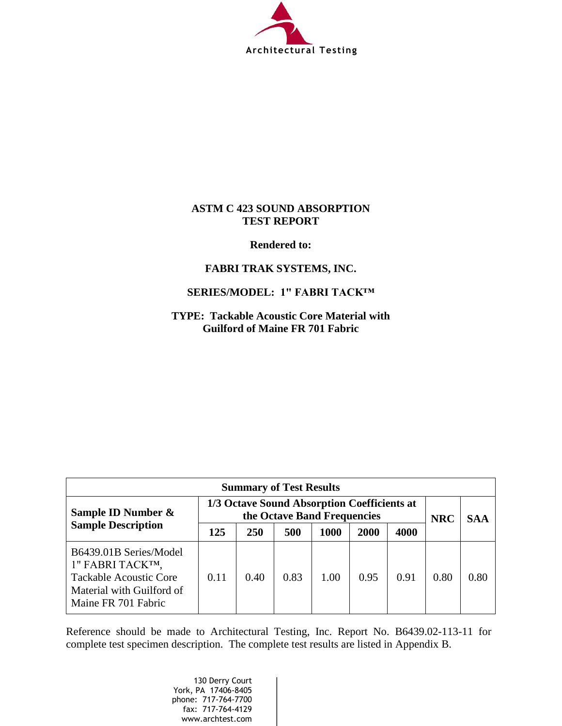

## **ASTM C 423 SOUND ABSORPTION TEST REPORT**

**Rendered to:** 

## **FABRI TRAK SYSTEMS, INC.**

## **SERIES/MODEL: 1" FABRI TACK™**

**TYPE: Tackable Acoustic Core Material with Guilford of Maine FR 701 Fabric** 

| <b>Summary of Test Results</b>                                                                                                  |                                                                            |            |            |            |             |      |      |      |  |
|---------------------------------------------------------------------------------------------------------------------------------|----------------------------------------------------------------------------|------------|------------|------------|-------------|------|------|------|--|
| Sample ID Number &                                                                                                              | 1/3 Octave Sound Absorption Coefficients at<br>the Octave Band Frequencies |            | <b>NRC</b> | <b>SAA</b> |             |      |      |      |  |
| <b>Sample Description</b>                                                                                                       | 125                                                                        | <b>250</b> | 500        | 1000       | <b>2000</b> | 4000 |      |      |  |
| B6439.01B Series/Model<br>1" FABRI TACKTM,<br><b>Tackable Acoustic Core</b><br>Material with Guilford of<br>Maine FR 701 Fabric | 0.11                                                                       | 0.40       | 0.83       | 1.00       | 0.95        | 0.91 | 0.80 | 0.80 |  |

Reference should be made to Architectural Testing, Inc. Report No. B6439.02-113-11 for complete test specimen description. The complete test results are listed in Appendix B.

> 130 Derry Court York, PA 17406-8405 phone: 717-764-7700 fax: 717-764-4129 www.archtest.com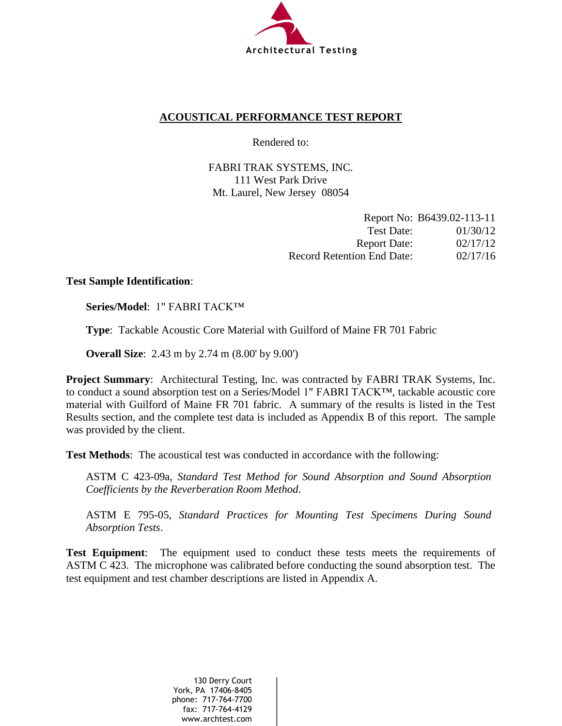

## **ACOUSTICAL PERFORMANCE TEST REPORT**

Rendered to:

FABRI TRAK SYSTEMS, INC. 111 West Park Drive Mt. Laurel, New Jersey 08054

|                                   | Report No: B6439.02-113-11 |
|-----------------------------------|----------------------------|
| Test Date:                        | 01/30/12                   |
| <b>Report Date:</b>               | 02/17/12                   |
| <b>Record Retention End Date:</b> | 02/17/16                   |

## **Test Sample Identification**:

**Series/Model**: 1" FABRI TACK™

**Type**: Tackable Acoustic Core Material with Guilford of Maine FR 701 Fabric

**Overall Size**: 2.43 m by 2.74 m (8.00' by 9.00')

**Project Summary:** Architectural Testing, Inc. was contracted by FABRI TRAK Systems, Inc. to conduct a sound absorption test on a Series/Model 1" FABRI TACK™, tackable acoustic core material with Guilford of Maine FR 701 fabric. A summary of the results is listed in the Test Results section, and the complete test data is included as Appendix B of this report. The sample was provided by the client.

**Test Methods**: The acoustical test was conducted in accordance with the following:

ASTM C 423-09a, *Standard Test Method for Sound Absorption and Sound Absorption Coefficients by the Reverberation Room Method*.

ASTM E 795-05, *Standard Practices for Mounting Test Specimens During Sound Absorption Tests*.

**Test Equipment**: The equipment used to conduct these tests meets the requirements of ASTM C 423. The microphone was calibrated before conducting the sound absorption test. The test equipment and test chamber descriptions are listed in Appendix A.

> 130 Derry Court York, PA 17406-8405 phone: 717-764-7700 fax: 717-764-4129 www.archtest.com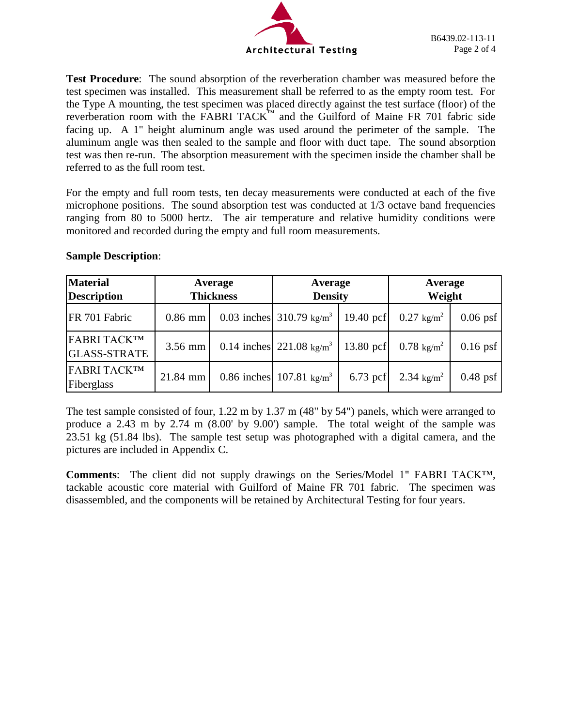

**Test Procedure**: The sound absorption of the reverberation chamber was measured before the test specimen was installed. This measurement shall be referred to as the empty room test. For the Type A mounting, the test specimen was placed directly against the test surface (floor) of the reverberation room with the FABRI TACK™ and the Guilford of Maine FR 701 fabric side facing up. A 1" height aluminum angle was used around the perimeter of the sample. The aluminum angle was then sealed to the sample and floor with duct tape. The sound absorption test was then re-run. The absorption measurement with the specimen inside the chamber shall be referred to as the full room test.

For the empty and full room tests, ten decay measurements were conducted at each of the five microphone positions. The sound absorption test was conducted at 1/3 octave band frequencies ranging from 80 to 5000 hertz. The air temperature and relative humidity conditions were monitored and recorded during the empty and full room measurements.

| <b>Material</b>                           | Average    |                  | Average                                         |            | Average               |            |  |
|-------------------------------------------|------------|------------------|-------------------------------------------------|------------|-----------------------|------------|--|
| <b>Description</b>                        |            | <b>Thickness</b> | <b>Density</b>                                  |            | Weight                |            |  |
| FR 701 Fabric                             | $0.86$ mm  |                  | 0.03 inches 310.79 $\text{kg/m}^3$   19.40 pcf  |            | $0.27 \text{ kg/m}^2$ | $0.06$ psf |  |
| <b>FABRI TACK™</b><br><b>GLASS-STRATE</b> | $3.56$ mm  |                  | 0.14 inches $221.08 \text{ kg/m}^3$   13.80 pcf |            | $0.78 \text{ kg/m}^2$ | $0.16$ psf |  |
| <b>FABRI TACK™</b><br>Fiberglass          | $21.84$ mm |                  | 0.86 inches 107.81 $\text{kg/m}^3$              | $6.73$ pcf | 2.34 $\text{kg/m}^2$  | $0.48$ psf |  |

### **Sample Description**:

The test sample consisted of four, 1.22 m by 1.37 m (48" by 54") panels, which were arranged to produce a 2.43 m by 2.74 m (8.00' by 9.00') sample. The total weight of the sample was 23.51 kg (51.84 lbs). The sample test setup was photographed with a digital camera, and the pictures are included in Appendix C.

**Comments**: The client did not supply drawings on the Series/Model 1" FABRI TACK™, tackable acoustic core material with Guilford of Maine FR 701 fabric. The specimen was disassembled, and the components will be retained by Architectural Testing for four years.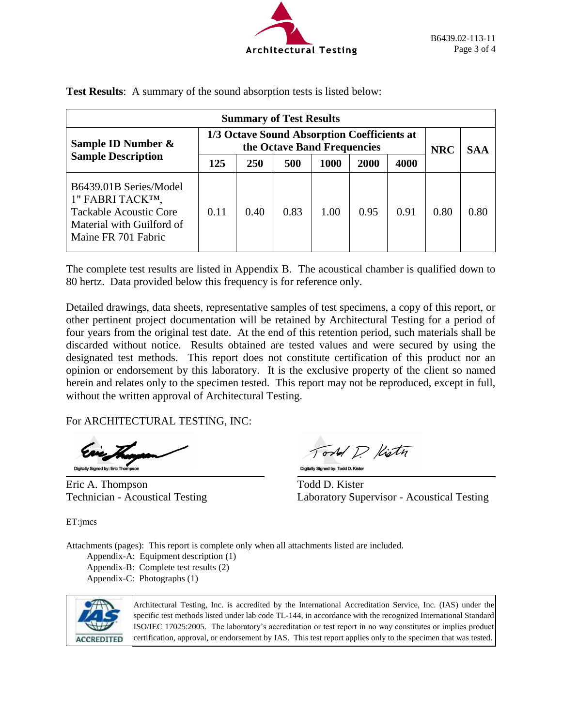

|                                                                                                                                 |                                                                                                                                |      | <b>Summary of Test Results</b> |      |      |      |            |            |
|---------------------------------------------------------------------------------------------------------------------------------|--------------------------------------------------------------------------------------------------------------------------------|------|--------------------------------|------|------|------|------------|------------|
| Sample ID Number &                                                                                                              | 1/3 Octave Sound Absorption Coefficients at<br>the Octave Band Frequencies<br>4000<br><b>250</b><br>500<br>1000<br>2000<br>125 |      |                                |      |      |      | <b>NRC</b> | <b>SAA</b> |
| <b>Sample Description</b>                                                                                                       |                                                                                                                                |      |                                |      |      |      |            |            |
| B6439.01B Series/Model<br>1" FABRI TACKTM,<br><b>Tackable Acoustic Core</b><br>Material with Guilford of<br>Maine FR 701 Fabric | 0.11                                                                                                                           | 0.40 | 0.83                           | 1.00 | 0.95 | 0.91 | 0.80       | 0.80       |

**Test Results**: A summary of the sound absorption tests is listed below:

The complete test results are listed in Appendix B. The acoustical chamber is qualified down to 80 hertz. Data provided below this frequency is for reference only.

Detailed drawings, data sheets, representative samples of test specimens, a copy of this report, or other pertinent project documentation will be retained by Architectural Testing for a period of four years from the original test date. At the end of this retention period, such materials shall be discarded without notice. Results obtained are tested values and were secured by using the designated test methods. This report does not constitute certification of this product nor an opinion or endorsement by this laboratory. It is the exclusive property of the client so named herein and relates only to the specimen tested. This report may not be reproduced, except in full, without the written approval of Architectural Testing.

l,

For ARCHITECTURAL TESTING, INC:

Digitally Signed by: Eric Thomp

Eric A. Thompson Todd D. Kister

Tord D. Kistn Digitally Signed by: Todd D. Kister

Technician - Acoustical Testing Laboratory Supervisor - Acoustical Testing

ET:jmcs

Attachments (pages): This report is complete only when all attachments listed are included.

Appendix-A: Equipment description (1) Appendix-B: Complete test results (2) Appendix-C: Photographs (1)



Architectural Testing, Inc. is accredited by the International Accreditation Service, Inc. (IAS) under the specific test methods listed under lab code TL-144, in accordance with the recognized International Standard ISO/IEC 17025:2005. The laboratory's accreditation or test report in no way constitutes or implies product certification, approval, or endorsement by IAS. This test report applies only to the specimen that was tested.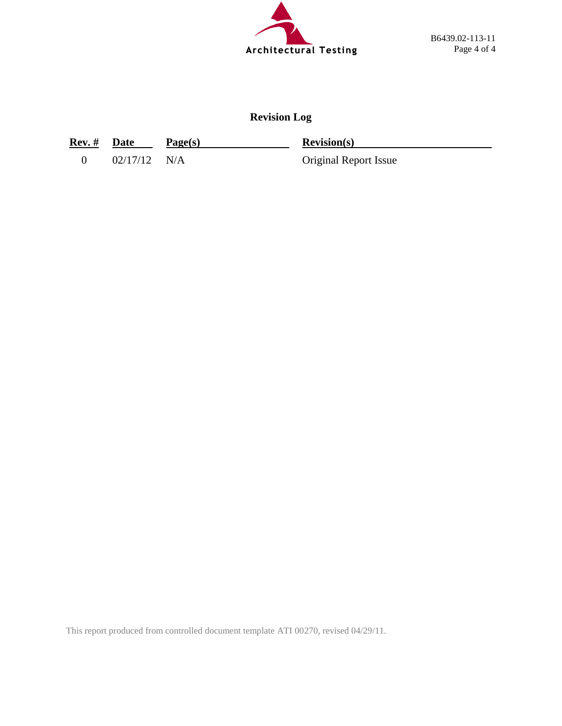

## **Revision Log**

**Rev. # Date Page(s) Revision(s)**

0 02/17/12 N/A Original Report Issue

This report produced from controlled document template ATI 00270, revised 04/29/11.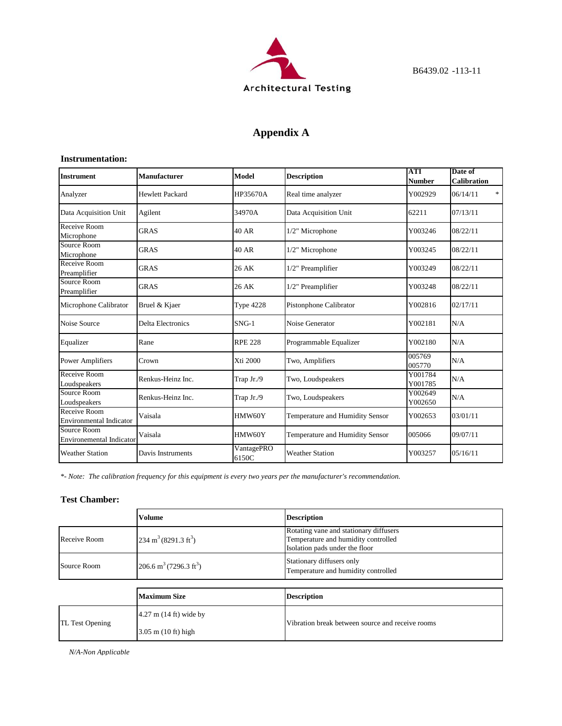

## **Appendix A**

#### **Instrumentation:**

| <b>Instrument</b>                              | <b>Manufacturer</b>      | Model               | <b>Description</b>              | ATI<br>Number      | Date of<br><b>Calibration</b> |
|------------------------------------------------|--------------------------|---------------------|---------------------------------|--------------------|-------------------------------|
| Analyzer                                       | <b>Hewlett Packard</b>   | HP35670A            | Real time analyzer              | Y002929            | *<br>06/14/11                 |
| Data Acquisition Unit                          | Agilent                  | 34970A              | Data Acquisition Unit           | 62211              | 07/13/11                      |
| Receive Room<br>Microphone                     | <b>GRAS</b>              | 40 AR               | 1/2" Microphone                 | Y003246            | 08/22/11                      |
| Source Room<br>Microphone                      | <b>GRAS</b>              | 40 AR               | 1/2" Microphone                 | Y003245            | 08/22/11                      |
| Receive Room<br>Preamplifier                   | <b>GRAS</b>              | 26 AK               | 1/2" Preamplifier               | Y003249            | 08/22/11                      |
| Source Room<br>Preamplifier                    | <b>GRAS</b>              | 26 AK               | 1/2" Preamplifier               | Y003248            | 08/22/11                      |
| Microphone Calibrator                          | Bruel & Kjaer            | <b>Type 4228</b>    | Pistonphone Calibrator          | Y002816            | 02/17/11                      |
| Noise Source                                   | <b>Delta Electronics</b> | $SNG-1$             | Noise Generator                 | Y002181            | N/A                           |
| Equalizer                                      | Rane                     | <b>RPE 228</b>      | Programmable Equalizer          | Y002180            | N/A                           |
| <b>Power Amplifiers</b>                        | Crown                    | Xti 2000            | Two, Amplifiers                 | 005769<br>005770   | N/A                           |
| Receive Room<br>Loudspeakers                   | Renkus-Heinz Inc.        | Trap Jr./9          | Two, Loudspeakers               | Y001784<br>Y001785 | N/A                           |
| Source Room<br>Loudspeakers                    | Renkus-Heinz Inc.        | Trap Jr./9          | Two, Loudspeakers               | Y002649<br>Y002650 | N/A                           |
| Receive Room<br><b>Environmental Indicator</b> | Vaisala                  | HMW60Y              | Temperature and Humidity Sensor | Y002653            | 03/01/11                      |
| Source Room<br><b>Environemental Indicator</b> | Vaisala                  | HMW60Y              | Temperature and Humidity Sensor | 005066             | 09/07/11                      |
| <b>Weather Station</b>                         | Davis Instruments        | VantagePRO<br>6150C | <b>Weather Station</b>          | Y003257            | 05/16/11                      |

*\*- Note: The calibration frequency for this equipment is every two years per the manufacturer's recommendation.*

#### **Test Chamber:**

|                 | <b>Volume</b>                                  | <b>Description</b>                                                                                              |  |  |
|-----------------|------------------------------------------------|-----------------------------------------------------------------------------------------------------------------|--|--|
| Receive Room    | $234 \text{ m}^3 (8291.3 \text{ ft}^3)$        | Rotating vane and stationary diffusers<br>Temperature and humidity controlled<br>Isolation pads under the floor |  |  |
| Source Room     | 206.6 m <sup>3</sup> (7296.3 ft <sup>3</sup> ) | Stationary diffusers only<br>Temperature and humidity controlled                                                |  |  |
|                 |                                                |                                                                                                                 |  |  |
|                 | <b>Maximum Size</b>                            | <b>Description</b>                                                                                              |  |  |
| TL Test Opening | $4.27$ m $(14 \text{ ft})$ wide by             | Vibration break between source and receive rooms                                                                |  |  |
|                 | $3.05$ m $(10 \text{ ft})$ high                |                                                                                                                 |  |  |

*N/A-Non Applicable*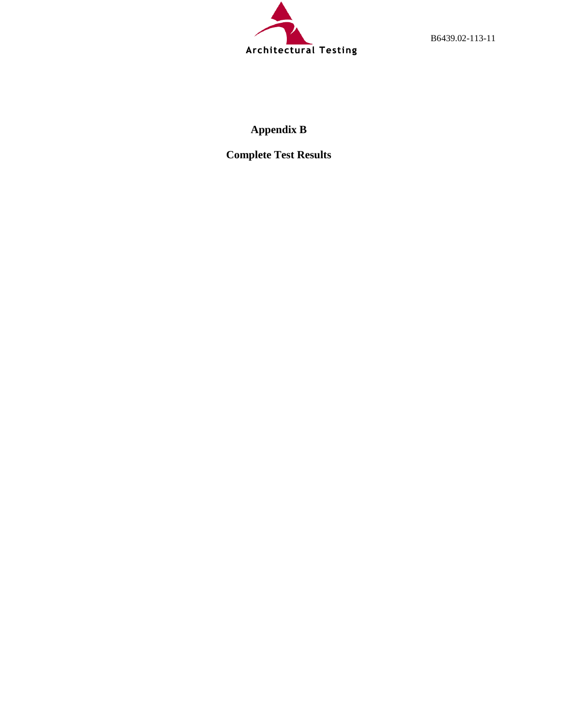

B6439.02-113-11

# **Appendix B**

**Complete Test Results**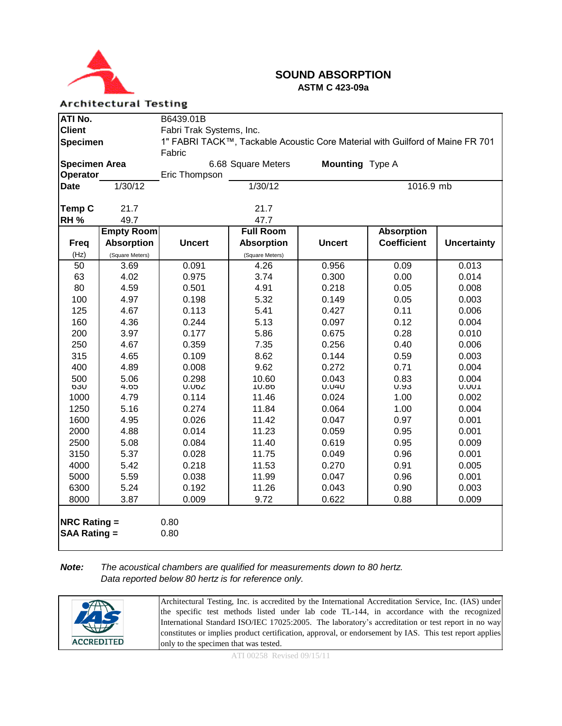

### **SOUND ABSORPTION ASTM C 423-09a**

**Architectural Testing** 

| ATI No.                                                 |                   | B6439.01B                |                                                                               |                        |                    |                    |
|---------------------------------------------------------|-------------------|--------------------------|-------------------------------------------------------------------------------|------------------------|--------------------|--------------------|
| <b>Client</b>                                           |                   | Fabri Trak Systems, Inc. |                                                                               |                        |                    |                    |
| <b>Specimen</b>                                         |                   |                          | 1" FABRI TACK™, Tackable Acoustic Core Material with Guilford of Maine FR 701 |                        |                    |                    |
|                                                         |                   | Fabric                   |                                                                               |                        |                    |                    |
| <b>Specimen Area</b>                                    |                   |                          | 6.68 Square Meters                                                            | <b>Mounting</b> Type A |                    |                    |
| Operator                                                |                   | Eric Thompson            |                                                                               |                        |                    |                    |
| <b>Date</b>                                             | 1/30/12           |                          | 1/30/12                                                                       |                        | 1016.9 mb          |                    |
|                                                         |                   |                          |                                                                               |                        |                    |                    |
| <b>Temp C</b>                                           | 21.7              |                          | 21.7                                                                          |                        |                    |                    |
| RH <sub>%</sub>                                         | 49.7              |                          | 47.7                                                                          |                        |                    |                    |
|                                                         | <b>Empty Room</b> |                          | <b>Full Room</b>                                                              |                        | <b>Absorption</b>  |                    |
| <b>Freq</b>                                             | <b>Absorption</b> | <b>Uncert</b>            | <b>Absorption</b>                                                             | <b>Uncert</b>          | <b>Coefficient</b> | <b>Uncertainty</b> |
| (Hz)                                                    | (Square Meters)   |                          | (Square Meters)                                                               |                        |                    |                    |
| 50                                                      | 3.69              | 0.091                    | 4.26                                                                          | 0.956                  | 0.09               | 0.013              |
| 63                                                      | 4.02              | 0.975                    | 3.74                                                                          | 0.300                  | 0.00               | 0.014              |
| 80                                                      | 4.59              | 0.501                    | 4.91                                                                          | 0.218                  | 0.05               | 0.008              |
| 100                                                     | 4.97              | 0.198                    | 5.32                                                                          | 0.149                  | 0.05               | 0.003              |
| 125                                                     | 4.67              | 0.113                    | 5.41                                                                          | 0.427                  | 0.11               | 0.006              |
| 160                                                     | 4.36              | 0.244                    | 5.13                                                                          | 0.097                  | 0.12               | 0.004              |
| 200                                                     | 3.97              | 0.177                    | 5.86                                                                          | 0.675                  | 0.28               | 0.010              |
| 250                                                     | 4.67              | 0.359                    | 7.35                                                                          | 0.256                  | 0.40               | 0.006              |
| 315                                                     | 4.65              | 0.109                    | 8.62                                                                          | 0.144                  | 0.59               | 0.003              |
| 400                                                     | 4.89              | 0.008                    | 9.62                                                                          | 0.272                  | 0.71               | 0.004              |
| 500                                                     | 5.06              | 0.298                    | 10.60                                                                         | 0.043                  | 0.83               | 0.004              |
| OJU<br>1000                                             | GO.4<br>4.79      | U.UDZ<br>0.114           | 10.00<br>11.46                                                                | <b>U.U4U</b><br>0.024  | U.YJ<br>1.00       | U.UUT<br>0.002     |
| 1250                                                    | 5.16              | 0.274                    | 11.84                                                                         | 0.064                  | 1.00               | 0.004              |
| 1600                                                    | 4.95              | 0.026                    | 11.42                                                                         | 0.047                  | 0.97               | 0.001              |
| 2000                                                    | 4.88              | 0.014                    | 11.23                                                                         | 0.059                  | 0.95               | 0.001              |
| 2500                                                    | 5.08              | 0.084                    | 11.40                                                                         | 0.619                  | 0.95               | 0.009              |
| 3150                                                    | 5.37              | 0.028                    | 11.75                                                                         | 0.049                  | 0.96               | 0.001              |
| 4000                                                    | 5.42              | 0.218                    | 11.53                                                                         | 0.270                  | 0.91               | 0.005              |
| 5000                                                    | 5.59              | 0.038                    | 11.99                                                                         | 0.047                  | 0.96               | 0.001              |
| 6300                                                    | 5.24              | 0.192                    | 11.26                                                                         | 0.043                  | 0.90               | 0.003              |
| 8000                                                    | 3.87              | 0.009                    | 9.72                                                                          | 0.622                  | 0.88               | 0.009              |
|                                                         |                   |                          |                                                                               |                        |                    |                    |
| <b>NRC Rating <math>=</math></b><br><b>SAA Rating =</b> |                   | 0.80<br>0.80             |                                                                               |                        |                    |                    |

*Note: The acoustical chambers are qualified for measurements down to 80 hertz. Data reported below 80 hertz is for reference only.*

| Architectural Testing, Inc. is accredited by the International Accreditation Service, Inc. (IAS) under<br>TR<br>the specific test methods listed under lab code TL-144, in accordance with the recognized<br>International Standard ISO/IEC 17025:2005. The laboratory's accreditation or test report in no way<br>$\sqrt{1+\frac{1}{2}}$<br>constitutes or implies product certification, approval, or endorsement by IAS. This test report applies<br><b>ACCREDITED</b><br>only to the specimen that was tested. |
|--------------------------------------------------------------------------------------------------------------------------------------------------------------------------------------------------------------------------------------------------------------------------------------------------------------------------------------------------------------------------------------------------------------------------------------------------------------------------------------------------------------------|
|--------------------------------------------------------------------------------------------------------------------------------------------------------------------------------------------------------------------------------------------------------------------------------------------------------------------------------------------------------------------------------------------------------------------------------------------------------------------------------------------------------------------|

ATI 00258 Revised 09/15/11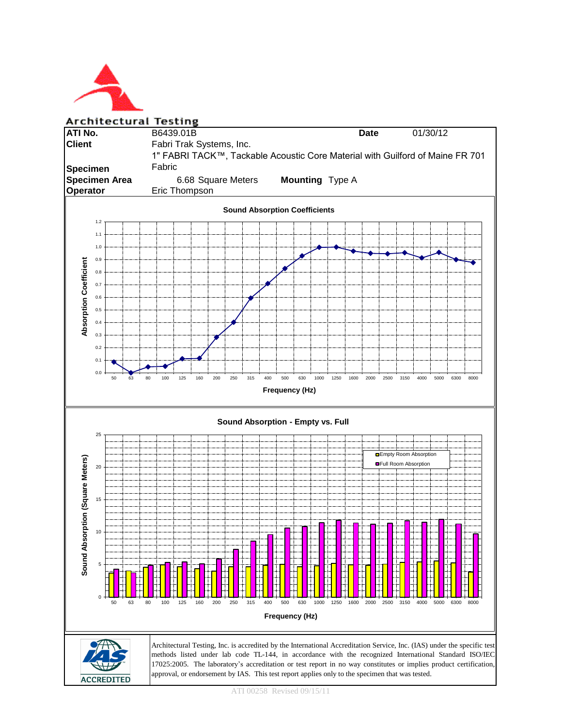